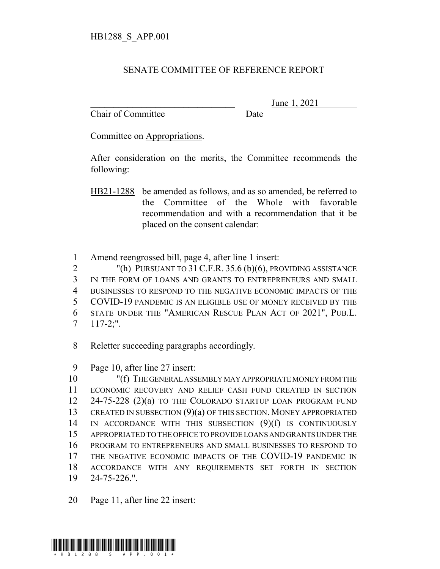## SENATE COMMITTEE OF REFERENCE REPORT

Chair of Committee Date

June 1, 2021

Committee on Appropriations.

After consideration on the merits, the Committee recommends the following:

HB21-1288 be amended as follows, and as so amended, be referred to the Committee of the Whole with favorable recommendation and with a recommendation that it be placed on the consent calendar:

1 Amend reengrossed bill, page 4, after line 1 insert:

2 "(h) PURSUANT TO 31 C.F.R. 35.6 (b)(6), PROVIDING ASSISTANCE

3 IN THE FORM OF LOANS AND GRANTS TO ENTREPRENEURS AND SMALL

4 BUSINESSES TO RESPOND TO THE NEGATIVE ECONOMIC IMPACTS OF THE

5 COVID-19 PANDEMIC IS AN ELIGIBLE USE OF MONEY RECEIVED BY THE

- 6 STATE UNDER THE "AMERICAN RESCUE PLAN ACT OF 2021", PUB.L.
- 7 117-2;".
- 8 Reletter succeeding paragraphs accordingly.
- 9 Page 10, after line 27 insert:

 "(f) THE GENERAL ASSEMBLY MAY APPROPRIATE MONEY FROM THE ECONOMIC RECOVERY AND RELIEF CASH FUND CREATED IN SECTION 24-75-228 (2)(a) TO THE COLORADO STARTUP LOAN PROGRAM FUND 13 CREATED IN SUBSECTION (9)(a) OF THIS SECTION. MONEY APPROPRIATED IN ACCORDANCE WITH THIS SUBSECTION (9)(f) IS CONTINUOUSLY APPROPRIATED TO THE OFFICE TO PROVIDE LOANS AND GRANTS UNDER THE PROGRAM TO ENTREPRENEURS AND SMALL BUSINESSES TO RESPOND TO THE NEGATIVE ECONOMIC IMPACTS OF THE COVID-19 PANDEMIC IN ACCORDANCE WITH ANY REQUIREMENTS SET FORTH IN SECTION 24-75-226.".

20 Page 11, after line 22 insert: